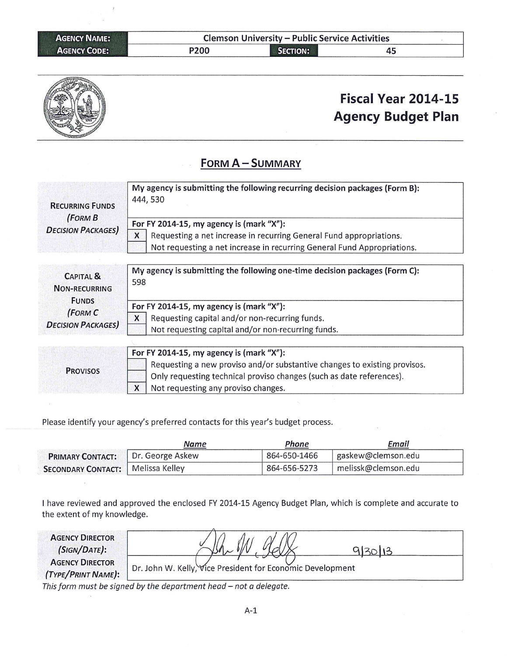| <b>AGENCY NAME:</b> |      | <b>Clemson University - Public Service Activities</b> |    |  |
|---------------------|------|-------------------------------------------------------|----|--|
| <b>AGENCY CODE:</b> | P200 | <b>SECTION:</b>                                       | 45 |  |



# Fiscal Year 2014-15 **Agency Budget Plan**

#### FORM A - SUMMARY

| <b>RECURRING FUNDS</b><br>(FORMB)            | My agency is submitting the following recurring decision packages (Form B):<br>444, 530 |  |  |
|----------------------------------------------|-----------------------------------------------------------------------------------------|--|--|
|                                              | For FY 2014-15, my agency is (mark "X"):                                                |  |  |
| <b>DECISION PACKAGES)</b>                    | X<br>Requesting a net increase in recurring General Fund appropriations.                |  |  |
|                                              | Not requesting a net increase in recurring General Fund Appropriations.                 |  |  |
|                                              |                                                                                         |  |  |
| <b>CAPITAL &amp;</b><br><b>NON-RECURRING</b> | My agency is submitting the following one-time decision packages (Form C):<br>598       |  |  |
| <b>FUNDS</b>                                 | For FY 2014-15, my agency is (mark "X"):                                                |  |  |
| (FORM C<br><b>DECISION PACKAGES)</b>         | X<br>Requesting capital and/or non-recurring funds.                                     |  |  |
|                                              | Not requesting capital and/or non-recurring funds.                                      |  |  |
|                                              |                                                                                         |  |  |
|                                              | For FY 2014-15, my agency is (mark "X"):                                                |  |  |
| <b>PROVISOS</b>                              | Requesting a new proviso and/or substantive changes to existing provisos.               |  |  |
|                                              |                                                                                         |  |  |

Only requesting technical proviso changes (such as date references).  $\mathsf{x}$ Not requesting any proviso changes.

Please identify your agency's preferred contacts for this year's budget process.

|                                          | Name | Phone        | Email               |
|------------------------------------------|------|--------------|---------------------|
| <b>PRIMARY CONTACT:</b> Dr. George Askew |      | 864-650-1466 | gaskew@clemson.edu  |
| <b>SECONDARY CONTACT:</b> Melissa Kelley |      | 864-656-5273 | melissk@clemson.edu |

I have reviewed and approved the enclosed FY 2014-15 Agency Budget Plan, which is complete and accurate to the extent of my knowledge.

| <b>AGENCY DIRECTOR</b><br>(SIGN/DATE):       |                                                            |  |
|----------------------------------------------|------------------------------------------------------------|--|
| <b>AGENCY DIRECTOR</b><br>(TYPE/PRINT NAME): | Dr. John W. Kelly, Vice President for Economic Development |  |

This form must be signed by the department head - not a delegate.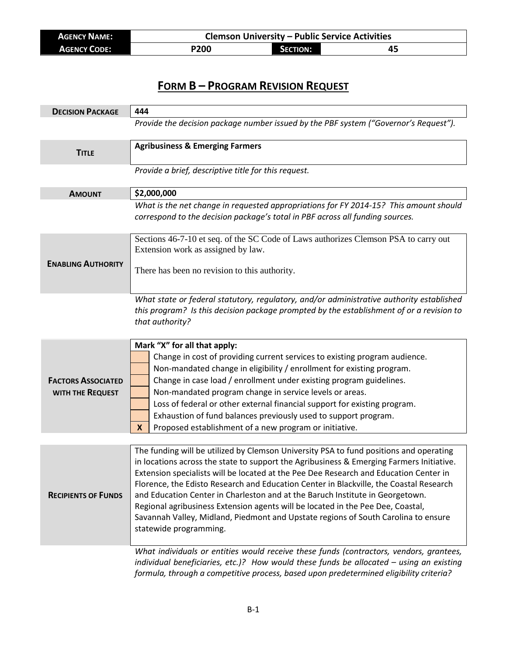| <b>AGENCY NAME:</b> | <b>Clemson University - Public Service Activities</b> |                 |    |
|---------------------|-------------------------------------------------------|-----------------|----|
| <b>AGENCY CODE:</b> | P200                                                  | <b>SECTION:</b> | 45 |

### **FORM B – PROGRAM REVISION REQUEST**

| <b>DECISION PACKAGE</b>    | 444                                                                                                                                                                                                                                                                                                                                                                                                                                                                                                                                                                                                                                                       |  |  |
|----------------------------|-----------------------------------------------------------------------------------------------------------------------------------------------------------------------------------------------------------------------------------------------------------------------------------------------------------------------------------------------------------------------------------------------------------------------------------------------------------------------------------------------------------------------------------------------------------------------------------------------------------------------------------------------------------|--|--|
|                            | Provide the decision package number issued by the PBF system ("Governor's Request").                                                                                                                                                                                                                                                                                                                                                                                                                                                                                                                                                                      |  |  |
| <b>TITLE</b>               | <b>Agribusiness &amp; Emerging Farmers</b>                                                                                                                                                                                                                                                                                                                                                                                                                                                                                                                                                                                                                |  |  |
|                            | Provide a brief, descriptive title for this request.                                                                                                                                                                                                                                                                                                                                                                                                                                                                                                                                                                                                      |  |  |
| <b>AMOUNT</b>              | \$2,000,000                                                                                                                                                                                                                                                                                                                                                                                                                                                                                                                                                                                                                                               |  |  |
|                            | What is the net change in requested appropriations for FY 2014-15? This amount should<br>correspond to the decision package's total in PBF across all funding sources.                                                                                                                                                                                                                                                                                                                                                                                                                                                                                    |  |  |
|                            | Sections 46-7-10 et seq. of the SC Code of Laws authorizes Clemson PSA to carry out<br>Extension work as assigned by law.                                                                                                                                                                                                                                                                                                                                                                                                                                                                                                                                 |  |  |
| <b>ENABLING AUTHORITY</b>  | There has been no revision to this authority.                                                                                                                                                                                                                                                                                                                                                                                                                                                                                                                                                                                                             |  |  |
|                            | What state or federal statutory, regulatory, and/or administrative authority established<br>this program? Is this decision package prompted by the establishment of or a revision to<br>that authority?                                                                                                                                                                                                                                                                                                                                                                                                                                                   |  |  |
|                            | Mark "X" for all that apply:                                                                                                                                                                                                                                                                                                                                                                                                                                                                                                                                                                                                                              |  |  |
|                            | Change in cost of providing current services to existing program audience.                                                                                                                                                                                                                                                                                                                                                                                                                                                                                                                                                                                |  |  |
|                            | Non-mandated change in eligibility / enrollment for existing program.                                                                                                                                                                                                                                                                                                                                                                                                                                                                                                                                                                                     |  |  |
| <b>FACTORS ASSOCIATED</b>  | Change in case load / enrollment under existing program guidelines.                                                                                                                                                                                                                                                                                                                                                                                                                                                                                                                                                                                       |  |  |
| WITH THE REQUEST           | Non-mandated program change in service levels or areas.                                                                                                                                                                                                                                                                                                                                                                                                                                                                                                                                                                                                   |  |  |
|                            | Loss of federal or other external financial support for existing program.                                                                                                                                                                                                                                                                                                                                                                                                                                                                                                                                                                                 |  |  |
|                            | Exhaustion of fund balances previously used to support program.<br>Proposed establishment of a new program or initiative.<br>$\mathbf x$                                                                                                                                                                                                                                                                                                                                                                                                                                                                                                                  |  |  |
|                            |                                                                                                                                                                                                                                                                                                                                                                                                                                                                                                                                                                                                                                                           |  |  |
| <b>RECIPIENTS OF FUNDS</b> | The funding will be utilized by Clemson University PSA to fund positions and operating<br>in locations across the state to support the Agribusiness & Emerging Farmers Initiative.<br>Extension specialists will be located at the Pee Dee Research and Education Center in<br>Florence, the Edisto Research and Education Center in Blackville, the Coastal Research<br>and Education Center in Charleston and at the Baruch Institute in Georgetown.<br>Regional agribusiness Extension agents will be located in the Pee Dee, Coastal,<br>Savannah Valley, Midland, Piedmont and Upstate regions of South Carolina to ensure<br>statewide programming. |  |  |
|                            | What individuals or entities would receive these funds (contractors, vendors, grantees,<br>individual beneficiaries, etc.)? How would these funds be allocated - using an existing<br>formula, through a competitive process, based upon predetermined eligibility criteria?                                                                                                                                                                                                                                                                                                                                                                              |  |  |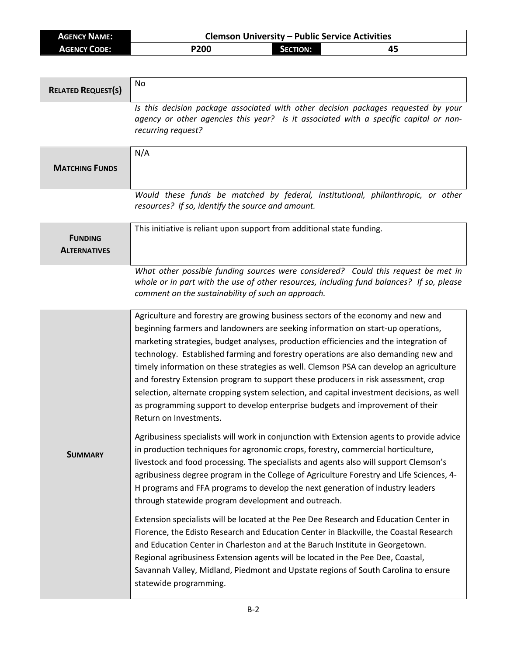| <b>AGENCY NAME:</b> | <b>Clemson University - Public Service Activities</b> |          |  |
|---------------------|-------------------------------------------------------|----------|--|
| <b>AGENCY CODE:</b> | P200                                                  | Section: |  |

| <b>RELATED REQUEST(S)</b>             | No                                                                                                                                                                                                                                                                                                                                                                                                                                                                                                                                                                                                                                                                                                                                                                                                                                                                                                                                                                                                                                                                                                                                                                                                                                                                                                                                                                                                                                                                                                                                                                                                                                                                                                                                |
|---------------------------------------|-----------------------------------------------------------------------------------------------------------------------------------------------------------------------------------------------------------------------------------------------------------------------------------------------------------------------------------------------------------------------------------------------------------------------------------------------------------------------------------------------------------------------------------------------------------------------------------------------------------------------------------------------------------------------------------------------------------------------------------------------------------------------------------------------------------------------------------------------------------------------------------------------------------------------------------------------------------------------------------------------------------------------------------------------------------------------------------------------------------------------------------------------------------------------------------------------------------------------------------------------------------------------------------------------------------------------------------------------------------------------------------------------------------------------------------------------------------------------------------------------------------------------------------------------------------------------------------------------------------------------------------------------------------------------------------------------------------------------------------|
|                                       | Is this decision package associated with other decision packages requested by your<br>agency or other agencies this year? Is it associated with a specific capital or non-<br>recurring request?                                                                                                                                                                                                                                                                                                                                                                                                                                                                                                                                                                                                                                                                                                                                                                                                                                                                                                                                                                                                                                                                                                                                                                                                                                                                                                                                                                                                                                                                                                                                  |
| <b>MATCHING FUNDS</b>                 | N/A                                                                                                                                                                                                                                                                                                                                                                                                                                                                                                                                                                                                                                                                                                                                                                                                                                                                                                                                                                                                                                                                                                                                                                                                                                                                                                                                                                                                                                                                                                                                                                                                                                                                                                                               |
|                                       | Would these funds be matched by federal, institutional, philanthropic, or other<br>resources? If so, identify the source and amount.                                                                                                                                                                                                                                                                                                                                                                                                                                                                                                                                                                                                                                                                                                                                                                                                                                                                                                                                                                                                                                                                                                                                                                                                                                                                                                                                                                                                                                                                                                                                                                                              |
| <b>FUNDING</b><br><b>ALTERNATIVES</b> | This initiative is reliant upon support from additional state funding.                                                                                                                                                                                                                                                                                                                                                                                                                                                                                                                                                                                                                                                                                                                                                                                                                                                                                                                                                                                                                                                                                                                                                                                                                                                                                                                                                                                                                                                                                                                                                                                                                                                            |
|                                       | What other possible funding sources were considered? Could this request be met in<br>whole or in part with the use of other resources, including fund balances? If so, please<br>comment on the sustainability of such an approach.                                                                                                                                                                                                                                                                                                                                                                                                                                                                                                                                                                                                                                                                                                                                                                                                                                                                                                                                                                                                                                                                                                                                                                                                                                                                                                                                                                                                                                                                                               |
| <b>SUMMARY</b>                        | Agriculture and forestry are growing business sectors of the economy and new and<br>beginning farmers and landowners are seeking information on start-up operations,<br>marketing strategies, budget analyses, production efficiencies and the integration of<br>technology. Established farming and forestry operations are also demanding new and<br>timely information on these strategies as well. Clemson PSA can develop an agriculture<br>and forestry Extension program to support these producers in risk assessment, crop<br>selection, alternate cropping system selection, and capital investment decisions, as well<br>as programming support to develop enterprise budgets and improvement of their<br>Return on Investments.<br>Agribusiness specialists will work in conjunction with Extension agents to provide advice<br>in production techniques for agronomic crops, forestry, commercial horticulture,<br>livestock and food processing. The specialists and agents also will support Clemson's<br>agribusiness degree program in the College of Agriculture Forestry and Life Sciences, 4-<br>H programs and FFA programs to develop the next generation of industry leaders<br>through statewide program development and outreach.<br>Extension specialists will be located at the Pee Dee Research and Education Center in<br>Florence, the Edisto Research and Education Center in Blackville, the Coastal Research<br>and Education Center in Charleston and at the Baruch Institute in Georgetown.<br>Regional agribusiness Extension agents will be located in the Pee Dee, Coastal,<br>Savannah Valley, Midland, Piedmont and Upstate regions of South Carolina to ensure<br>statewide programming. |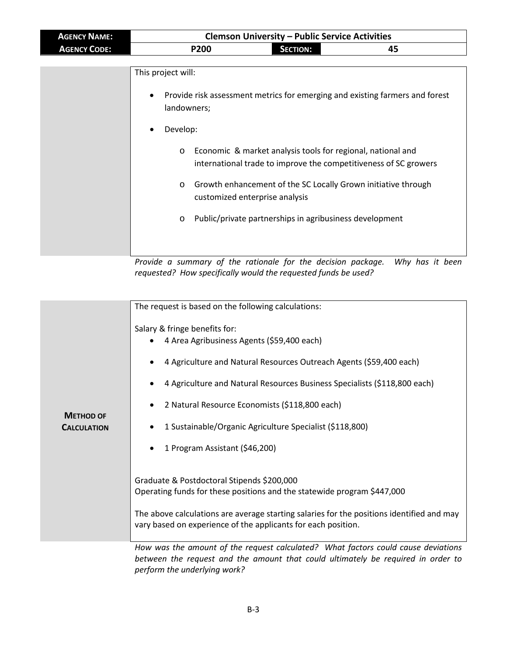| <b>AGENCY NAME:</b> | <b>Clemson University - Public Service Activities</b>                                                    |                                                                                                                                                                                                                                                                                                                                                                               |    |
|---------------------|----------------------------------------------------------------------------------------------------------|-------------------------------------------------------------------------------------------------------------------------------------------------------------------------------------------------------------------------------------------------------------------------------------------------------------------------------------------------------------------------------|----|
| <b>AGENCY CODE:</b> | P200                                                                                                     | <b>SECTION:</b>                                                                                                                                                                                                                                                                                                                                                               | 45 |
|                     | This project will:<br>$\bullet$<br>landowners;<br>Develop:<br>$\bullet$<br>$\circ$<br>$\circ$<br>$\circ$ | Provide risk assessment metrics for emerging and existing farmers and forest<br>Economic & market analysis tools for regional, national and<br>international trade to improve the competitiveness of SC growers<br>Growth enhancement of the SC Locally Grown initiative through<br>customized enterprise analysis<br>Public/private partnerships in agribusiness development |    |
|                     |                                                                                                          |                                                                                                                                                                                                                                                                                                                                                                               |    |

*Provide a summary of the rationale for the decision package. Why has it been requested? How specifically would the requested funds be used?*

|                                        | The request is based on the following calculations:                                                                                                                                                                                                                                                                                           |  |  |
|----------------------------------------|-----------------------------------------------------------------------------------------------------------------------------------------------------------------------------------------------------------------------------------------------------------------------------------------------------------------------------------------------|--|--|
| <b>METHOD OF</b><br><b>CALCULATION</b> | Salary & fringe benefits for:<br>4 Area Agribusiness Agents (\$59,400 each)<br>4 Agriculture and Natural Resources Outreach Agents (\$59,400 each)<br>4 Agriculture and Natural Resources Business Specialists (\$118,800 each)<br>2 Natural Resource Economists (\$118,800 each)<br>1 Sustainable/Organic Agriculture Specialist (\$118,800) |  |  |
|                                        | 1 Program Assistant (\$46,200)<br>Graduate & Postdoctoral Stipends \$200,000<br>Operating funds for these positions and the statewide program \$447,000                                                                                                                                                                                       |  |  |
|                                        | The above calculations are average starting salaries for the positions identified and may<br>vary based on experience of the applicants for each position.                                                                                                                                                                                    |  |  |
|                                        | How was the amount of the request calculated? What factors could cause deviations<br>between the request and the amount that could ultimately be required in order to<br>perform the underlying work?                                                                                                                                         |  |  |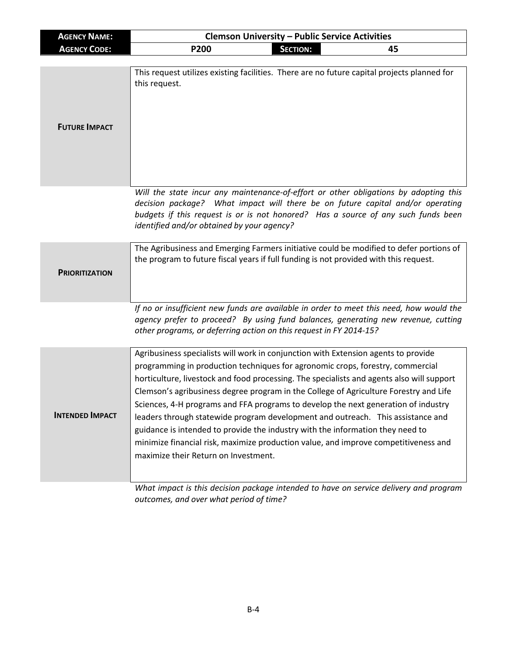| <b>AGENCY NAME:</b>    | <b>Clemson University - Public Service Activities</b>                                                                                                                                                                                                                                                                                                                                                                                                                                                                                                                                                                                                                                                                                                                                                                                         |                 |    |
|------------------------|-----------------------------------------------------------------------------------------------------------------------------------------------------------------------------------------------------------------------------------------------------------------------------------------------------------------------------------------------------------------------------------------------------------------------------------------------------------------------------------------------------------------------------------------------------------------------------------------------------------------------------------------------------------------------------------------------------------------------------------------------------------------------------------------------------------------------------------------------|-----------------|----|
| <b>AGENCY CODE:</b>    | <b>P200</b>                                                                                                                                                                                                                                                                                                                                                                                                                                                                                                                                                                                                                                                                                                                                                                                                                                   | <b>SECTION:</b> | 45 |
| <b>FUTURE IMPACT</b>   | This request utilizes existing facilities. There are no future capital projects planned for<br>this request.                                                                                                                                                                                                                                                                                                                                                                                                                                                                                                                                                                                                                                                                                                                                  |                 |    |
|                        | Will the state incur any maintenance-of-effort or other obligations by adopting this<br>decision package? What impact will there be on future capital and/or operating<br>budgets if this request is or is not honored? Has a source of any such funds been<br>identified and/or obtained by your agency?                                                                                                                                                                                                                                                                                                                                                                                                                                                                                                                                     |                 |    |
| <b>PRIORITIZATION</b>  | The Agribusiness and Emerging Farmers initiative could be modified to defer portions of<br>the program to future fiscal years if full funding is not provided with this request.                                                                                                                                                                                                                                                                                                                                                                                                                                                                                                                                                                                                                                                              |                 |    |
|                        | If no or insufficient new funds are available in order to meet this need, how would the<br>agency prefer to proceed? By using fund balances, generating new revenue, cutting<br>other programs, or deferring action on this request in FY 2014-15?                                                                                                                                                                                                                                                                                                                                                                                                                                                                                                                                                                                            |                 |    |
| <b>INTENDED IMPACT</b> | Agribusiness specialists will work in conjunction with Extension agents to provide<br>programming in production techniques for agronomic crops, forestry, commercial<br>horticulture, livestock and food processing. The specialists and agents also will support<br>Clemson's agribusiness degree program in the College of Agriculture Forestry and Life<br>Sciences, 4-H programs and FFA programs to develop the next generation of industry<br>leaders through statewide program development and outreach. This assistance and<br>guidance is intended to provide the industry with the information they need to<br>minimize financial risk, maximize production value, and improve competitiveness and<br>maximize their Return on Investment.<br>What impact is this decision package intended to have on service delivery and program |                 |    |

*outcomes, and over what period of time?*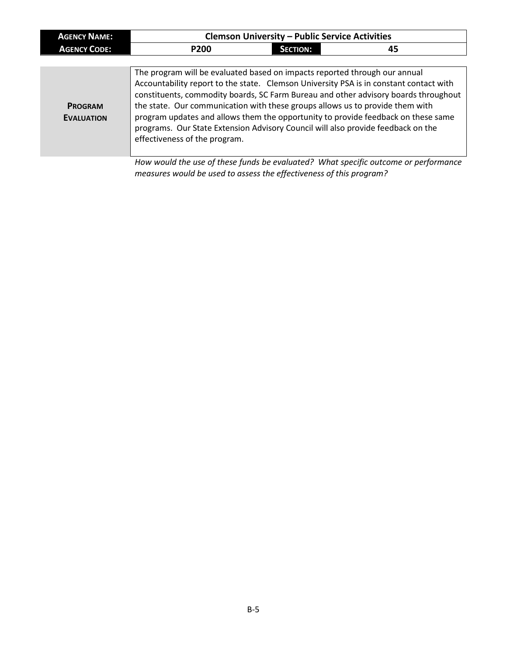| <b>AGENCY NAME:</b>                 | <b>Clemson University - Public Service Activities</b>                                                                                                                                                                                                                            |                 |                                                                                                                                                                                                                                                                    |  |
|-------------------------------------|----------------------------------------------------------------------------------------------------------------------------------------------------------------------------------------------------------------------------------------------------------------------------------|-----------------|--------------------------------------------------------------------------------------------------------------------------------------------------------------------------------------------------------------------------------------------------------------------|--|
| <b>AGENCY CODE:</b>                 | <b>P200</b>                                                                                                                                                                                                                                                                      | <b>SECTION:</b> | 45                                                                                                                                                                                                                                                                 |  |
|                                     |                                                                                                                                                                                                                                                                                  |                 |                                                                                                                                                                                                                                                                    |  |
| <b>PROGRAM</b><br><b>EVALUATION</b> | The program will be evaluated based on impacts reported through our annual<br>the state. Our communication with these groups allows us to provide them with<br>programs. Our State Extension Advisory Council will also provide feedback on the<br>effectiveness of the program. |                 | Accountability report to the state. Clemson University PSA is in constant contact with<br>constituents, commodity boards, SC Farm Bureau and other advisory boards throughout<br>program updates and allows them the opportunity to provide feedback on these same |  |
|                                     | measures would be used to assess the effectiveness of this program?                                                                                                                                                                                                              |                 | How would the use of these funds be evaluated? What specific outcome or performance                                                                                                                                                                                |  |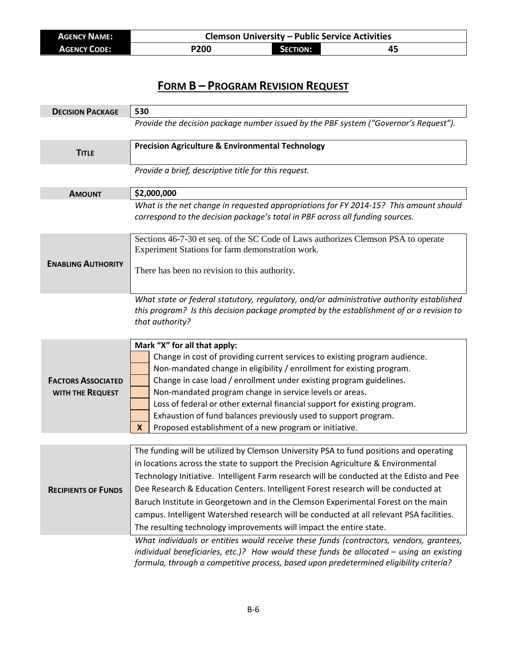| <b>AGENCY NAME:</b> | <b>Clemson University - Public Service Activities</b> |                 |    |
|---------------------|-------------------------------------------------------|-----------------|----|
| <b>AGENCY CODE:</b> | <b>P200</b>                                           | <b>SECTION:</b> | 45 |

## **FORM B – PROGRAM REVISION REQUEST**

| <b>DECISION PACKAGE</b>                       | 530                                                                                                                                                                                                                                                                                                                                                                                                                                                                                                                                                                                                                    |  |  |
|-----------------------------------------------|------------------------------------------------------------------------------------------------------------------------------------------------------------------------------------------------------------------------------------------------------------------------------------------------------------------------------------------------------------------------------------------------------------------------------------------------------------------------------------------------------------------------------------------------------------------------------------------------------------------------|--|--|
|                                               | Provide the decision package number issued by the PBF system ("Governor's Request").                                                                                                                                                                                                                                                                                                                                                                                                                                                                                                                                   |  |  |
| <b>TITLE</b>                                  | <b>Precision Agriculture &amp; Environmental Technology</b>                                                                                                                                                                                                                                                                                                                                                                                                                                                                                                                                                            |  |  |
|                                               | Provide a brief, descriptive title for this request.                                                                                                                                                                                                                                                                                                                                                                                                                                                                                                                                                                   |  |  |
|                                               |                                                                                                                                                                                                                                                                                                                                                                                                                                                                                                                                                                                                                        |  |  |
| <b>AMOUNT</b>                                 | \$2,000,000                                                                                                                                                                                                                                                                                                                                                                                                                                                                                                                                                                                                            |  |  |
|                                               | What is the net change in requested appropriations for FY 2014-15? This amount should<br>correspond to the decision package's total in PBF across all funding sources.                                                                                                                                                                                                                                                                                                                                                                                                                                                 |  |  |
|                                               | Sections 46-7-30 et seq. of the SC Code of Laws authorizes Clemson PSA to operate<br>Experiment Stations for farm demonstration work.                                                                                                                                                                                                                                                                                                                                                                                                                                                                                  |  |  |
| <b>ENABLING AUTHORITY</b>                     | There has been no revision to this authority.                                                                                                                                                                                                                                                                                                                                                                                                                                                                                                                                                                          |  |  |
|                                               | What state or federal statutory, regulatory, and/or administrative authority established<br>this program? Is this decision package prompted by the establishment of or a revision to<br>that authority?                                                                                                                                                                                                                                                                                                                                                                                                                |  |  |
| <b>FACTORS ASSOCIATED</b><br>WITH THE REQUEST | Mark "X" for all that apply:<br>Change in cost of providing current services to existing program audience.<br>Non-mandated change in eligibility / enrollment for existing program.<br>Change in case load / enrollment under existing program guidelines.<br>Non-mandated program change in service levels or areas.<br>Loss of federal or other external financial support for existing program.<br>Exhaustion of fund balances previously used to support program.<br>Proposed establishment of a new program or initiative.<br>$\mathbf x$                                                                         |  |  |
|                                               |                                                                                                                                                                                                                                                                                                                                                                                                                                                                                                                                                                                                                        |  |  |
| <b>RECIPIENTS OF FUNDS</b>                    | The funding will be utilized by Clemson University PSA to fund positions and operating<br>in locations across the state to support the Precision Agriculture & Environmental<br>Technology Initiative. Intelligent Farm research will be conducted at the Edisto and Pee<br>Dee Research & Education Centers. Intelligent Forest research will be conducted at<br>Baruch Institute in Georgetown and in the Clemson Experimental Forest on the main<br>campus. Intelligent Watershed research will be conducted at all relevant PSA facilities.<br>The resulting technology improvements will impact the entire state. |  |  |
|                                               | What individuals or entities would receive these funds (contractors, vendors, grantees,<br>individual beneficiaries, etc.)? How would these funds be allocated $-$ using an existing<br>formula, through a competitive process, based upon predetermined eligibility criteria?                                                                                                                                                                                                                                                                                                                                         |  |  |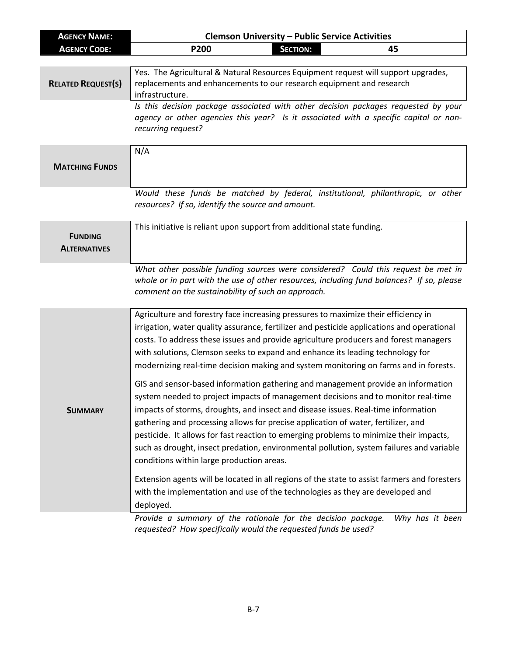| <b>AGENCY NAME:</b>                   | <b>Clemson University - Public Service Activities</b>                                                                                                                                                                                                                                                                                                                                                                                                                                                                                                                                                                                                                                                                                                                                                                                                                                                                                                                                       |  |  |
|---------------------------------------|---------------------------------------------------------------------------------------------------------------------------------------------------------------------------------------------------------------------------------------------------------------------------------------------------------------------------------------------------------------------------------------------------------------------------------------------------------------------------------------------------------------------------------------------------------------------------------------------------------------------------------------------------------------------------------------------------------------------------------------------------------------------------------------------------------------------------------------------------------------------------------------------------------------------------------------------------------------------------------------------|--|--|
| <b>AGENCY CODE:</b>                   | <b>SECTION:</b><br>P200<br>45                                                                                                                                                                                                                                                                                                                                                                                                                                                                                                                                                                                                                                                                                                                                                                                                                                                                                                                                                               |  |  |
|                                       |                                                                                                                                                                                                                                                                                                                                                                                                                                                                                                                                                                                                                                                                                                                                                                                                                                                                                                                                                                                             |  |  |
| <b>RELATED REQUEST(S)</b>             | Yes. The Agricultural & Natural Resources Equipment request will support upgrades,<br>replacements and enhancements to our research equipment and research<br>infrastructure.                                                                                                                                                                                                                                                                                                                                                                                                                                                                                                                                                                                                                                                                                                                                                                                                               |  |  |
|                                       | Is this decision package associated with other decision packages requested by your<br>agency or other agencies this year? Is it associated with a specific capital or non-<br>recurring request?                                                                                                                                                                                                                                                                                                                                                                                                                                                                                                                                                                                                                                                                                                                                                                                            |  |  |
| <b>MATCHING FUNDS</b>                 | N/A                                                                                                                                                                                                                                                                                                                                                                                                                                                                                                                                                                                                                                                                                                                                                                                                                                                                                                                                                                                         |  |  |
|                                       | Would these funds be matched by federal, institutional, philanthropic, or other<br>resources? If so, identify the source and amount.                                                                                                                                                                                                                                                                                                                                                                                                                                                                                                                                                                                                                                                                                                                                                                                                                                                        |  |  |
| <b>FUNDING</b><br><b>ALTERNATIVES</b> | This initiative is reliant upon support from additional state funding.                                                                                                                                                                                                                                                                                                                                                                                                                                                                                                                                                                                                                                                                                                                                                                                                                                                                                                                      |  |  |
|                                       | What other possible funding sources were considered? Could this request be met in<br>whole or in part with the use of other resources, including fund balances? If so, please<br>comment on the sustainability of such an approach.                                                                                                                                                                                                                                                                                                                                                                                                                                                                                                                                                                                                                                                                                                                                                         |  |  |
| <b>SUMMARY</b>                        | Agriculture and forestry face increasing pressures to maximize their efficiency in<br>irrigation, water quality assurance, fertilizer and pesticide applications and operational<br>costs. To address these issues and provide agriculture producers and forest managers<br>with solutions, Clemson seeks to expand and enhance its leading technology for<br>modernizing real-time decision making and system monitoring on farms and in forests.<br>GIS and sensor-based information gathering and management provide an information<br>system needed to project impacts of management decisions and to monitor real-time<br>impacts of storms, droughts, and insect and disease issues. Real-time information<br>gathering and processing allows for precise application of water, fertilizer, and<br>pesticide. It allows for fast reaction to emerging problems to minimize their impacts,<br>such as drought, insect predation, environmental pollution, system failures and variable |  |  |
|                                       | conditions within large production areas.<br>Extension agents will be located in all regions of the state to assist farmers and foresters<br>with the implementation and use of the technologies as they are developed and<br>deployed.<br>Brougle a summary of the rationale for the desision package<br>$M/hu$ has it hoop                                                                                                                                                                                                                                                                                                                                                                                                                                                                                                                                                                                                                                                                |  |  |

*Provide a summary of the rationale for the decision package. Why has it been requested? How specifically would the requested funds be used?*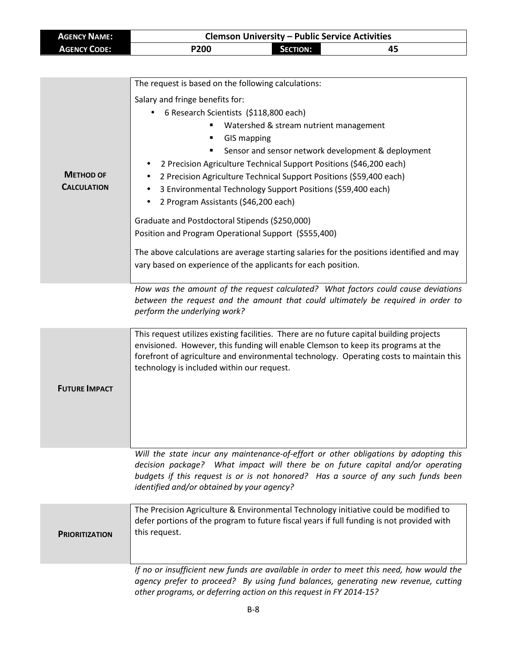| <b>AGENCY NAME:</b> | <b>Clemson University - Public Service Activities</b> |                 |    |
|---------------------|-------------------------------------------------------|-----------------|----|
| <b>AGENCY CODE:</b> | <b>P200</b>                                           | <b>SECTION:</b> | 45 |

|                       | The request is based on the following calculations:                                                                                                     |  |  |
|-----------------------|---------------------------------------------------------------------------------------------------------------------------------------------------------|--|--|
|                       | Salary and fringe benefits for:                                                                                                                         |  |  |
|                       | 6 Research Scientists (\$118,800 each)<br>٠                                                                                                             |  |  |
|                       | Watershed & stream nutrient management                                                                                                                  |  |  |
|                       | ٠<br><b>GIS mapping</b>                                                                                                                                 |  |  |
|                       | Sensor and sensor network development & deployment                                                                                                      |  |  |
|                       | 2 Precision Agriculture Technical Support Positions (\$46,200 each)                                                                                     |  |  |
| <b>METHOD OF</b>      | 2 Precision Agriculture Technical Support Positions (\$59,400 each)                                                                                     |  |  |
| <b>CALCULATION</b>    | 3 Environmental Technology Support Positions (\$59,400 each)                                                                                            |  |  |
|                       | 2 Program Assistants (\$46,200 each)<br>$\bullet$                                                                                                       |  |  |
|                       | Graduate and Postdoctoral Stipends (\$250,000)                                                                                                          |  |  |
|                       | Position and Program Operational Support (\$555,400)                                                                                                    |  |  |
|                       |                                                                                                                                                         |  |  |
|                       | The above calculations are average starting salaries for the positions identified and may                                                               |  |  |
|                       | vary based on experience of the applicants for each position.                                                                                           |  |  |
|                       | How was the amount of the request calculated? What factors could cause deviations                                                                       |  |  |
|                       | between the request and the amount that could ultimately be required in order to                                                                        |  |  |
|                       | perform the underlying work?                                                                                                                            |  |  |
|                       |                                                                                                                                                         |  |  |
|                       | This request utilizes existing facilities. There are no future capital building projects                                                                |  |  |
|                       | envisioned. However, this funding will enable Clemson to keep its programs at the                                                                       |  |  |
|                       | forefront of agriculture and environmental technology. Operating costs to maintain this<br>technology is included within our request.                   |  |  |
|                       |                                                                                                                                                         |  |  |
| <b>FUTURE IMPACT</b>  |                                                                                                                                                         |  |  |
|                       |                                                                                                                                                         |  |  |
|                       |                                                                                                                                                         |  |  |
|                       |                                                                                                                                                         |  |  |
|                       |                                                                                                                                                         |  |  |
|                       | Will the state incur any maintenance-of-effort or other obligations by adopting this                                                                    |  |  |
|                       | decision package? What impact will there be on future capital and/or operating                                                                          |  |  |
|                       | budgets if this request is or is not honored? Has a source of any such funds been<br>identified and/or obtained by your agency?                         |  |  |
|                       |                                                                                                                                                         |  |  |
|                       | The Precision Agriculture & Environmental Technology initiative could be modified to                                                                    |  |  |
|                       | defer portions of the program to future fiscal years if full funding is not provided with                                                               |  |  |
| <b>PRIORITIZATION</b> | this request.                                                                                                                                           |  |  |
|                       |                                                                                                                                                         |  |  |
|                       |                                                                                                                                                         |  |  |
|                       | If no or insufficient new funds are available in order to meet this need, how would the                                                                 |  |  |
|                       |                                                                                                                                                         |  |  |
|                       | agency prefer to proceed? By using fund balances, generating new revenue, cutting<br>other programs, or deferring action on this request in FY 2014-15? |  |  |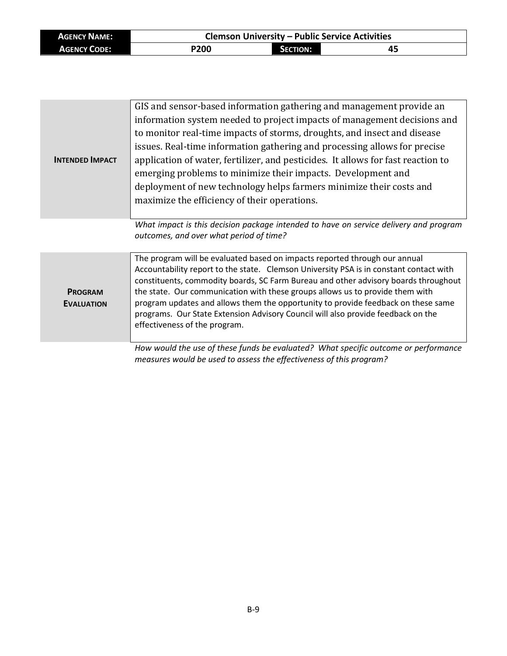| <b>AGENCY NAME:</b> |             |                 | <b>Clemson University - Public Service Activities</b> |
|---------------------|-------------|-----------------|-------------------------------------------------------|
| <b>AGENCY CODE:</b> | <b>P200</b> | <b>SECTION:</b> | 45                                                    |

| <b>INTENDED IMPACT</b>              | GIS and sensor-based information gathering and management provide an<br>information system needed to project impacts of management decisions and<br>to monitor real-time impacts of storms, droughts, and insect and disease<br>issues. Real-time information gathering and processing allows for precise<br>application of water, fertilizer, and pesticides. It allows for fast reaction to<br>emerging problems to minimize their impacts. Development and<br>deployment of new technology helps farmers minimize their costs and                   |
|-------------------------------------|--------------------------------------------------------------------------------------------------------------------------------------------------------------------------------------------------------------------------------------------------------------------------------------------------------------------------------------------------------------------------------------------------------------------------------------------------------------------------------------------------------------------------------------------------------|
|                                     | maximize the efficiency of their operations.                                                                                                                                                                                                                                                                                                                                                                                                                                                                                                           |
|                                     | What impact is this decision package intended to have on service delivery and program<br>outcomes, and over what period of time?                                                                                                                                                                                                                                                                                                                                                                                                                       |
| <b>PROGRAM</b><br><b>EVALUATION</b> | The program will be evaluated based on impacts reported through our annual<br>Accountability report to the state. Clemson University PSA is in constant contact with<br>constituents, commodity boards, SC Farm Bureau and other advisory boards throughout<br>the state. Our communication with these groups allows us to provide them with<br>program updates and allows them the opportunity to provide feedback on these same<br>programs. Our State Extension Advisory Council will also provide feedback on the<br>effectiveness of the program. |
|                                     | How would the use of these funds be evaluated? What specific outcome or performance                                                                                                                                                                                                                                                                                                                                                                                                                                                                    |

*measures would be used to assess the effectiveness of this program?*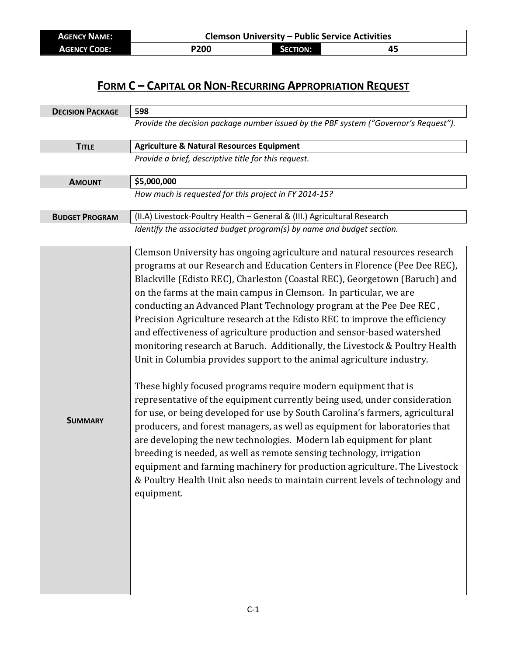| <b>AGENCY NAME:</b> |      |          | <b>Clemson University - Public Service Activities</b> |
|---------------------|------|----------|-------------------------------------------------------|
| <b>AGENCY CODE:</b> | P200 | SECTION: |                                                       |

### **FORM C – CAPITAL OR NON-RECURRING APPROPRIATION REQUEST**

| <b>DECISION PACKAGE</b> | 598                                                                                                                                                                                                                                                                                                                                                                                                                                                                                                                                                                                                                                                                                                                                                                                                                                                                                                                                                                                                                                                                                                                                                                                                                                                                                                                                       |
|-------------------------|-------------------------------------------------------------------------------------------------------------------------------------------------------------------------------------------------------------------------------------------------------------------------------------------------------------------------------------------------------------------------------------------------------------------------------------------------------------------------------------------------------------------------------------------------------------------------------------------------------------------------------------------------------------------------------------------------------------------------------------------------------------------------------------------------------------------------------------------------------------------------------------------------------------------------------------------------------------------------------------------------------------------------------------------------------------------------------------------------------------------------------------------------------------------------------------------------------------------------------------------------------------------------------------------------------------------------------------------|
|                         | Provide the decision package number issued by the PBF system ("Governor's Request").                                                                                                                                                                                                                                                                                                                                                                                                                                                                                                                                                                                                                                                                                                                                                                                                                                                                                                                                                                                                                                                                                                                                                                                                                                                      |
| <b>TITLE</b>            | <b>Agriculture &amp; Natural Resources Equipment</b>                                                                                                                                                                                                                                                                                                                                                                                                                                                                                                                                                                                                                                                                                                                                                                                                                                                                                                                                                                                                                                                                                                                                                                                                                                                                                      |
|                         | Provide a brief, descriptive title for this request.                                                                                                                                                                                                                                                                                                                                                                                                                                                                                                                                                                                                                                                                                                                                                                                                                                                                                                                                                                                                                                                                                                                                                                                                                                                                                      |
| <b>AMOUNT</b>           | \$5,000,000                                                                                                                                                                                                                                                                                                                                                                                                                                                                                                                                                                                                                                                                                                                                                                                                                                                                                                                                                                                                                                                                                                                                                                                                                                                                                                                               |
|                         | How much is requested for this project in FY 2014-15?                                                                                                                                                                                                                                                                                                                                                                                                                                                                                                                                                                                                                                                                                                                                                                                                                                                                                                                                                                                                                                                                                                                                                                                                                                                                                     |
| <b>BUDGET PROGRAM</b>   | (II.A) Livestock-Poultry Health - General & (III.) Agricultural Research                                                                                                                                                                                                                                                                                                                                                                                                                                                                                                                                                                                                                                                                                                                                                                                                                                                                                                                                                                                                                                                                                                                                                                                                                                                                  |
|                         | Identify the associated budget program(s) by name and budget section.                                                                                                                                                                                                                                                                                                                                                                                                                                                                                                                                                                                                                                                                                                                                                                                                                                                                                                                                                                                                                                                                                                                                                                                                                                                                     |
| <b>SUMMARY</b>          | Clemson University has ongoing agriculture and natural resources research<br>programs at our Research and Education Centers in Florence (Pee Dee REC),<br>Blackville (Edisto REC), Charleston (Coastal REC), Georgetown (Baruch) and<br>on the farms at the main campus in Clemson. In particular, we are<br>conducting an Advanced Plant Technology program at the Pee Dee REC,<br>Precision Agriculture research at the Edisto REC to improve the efficiency<br>and effectiveness of agriculture production and sensor-based watershed<br>monitoring research at Baruch. Additionally, the Livestock & Poultry Health<br>Unit in Columbia provides support to the animal agriculture industry.<br>These highly focused programs require modern equipment that is<br>representative of the equipment currently being used, under consideration<br>for use, or being developed for use by South Carolina's farmers, agricultural<br>producers, and forest managers, as well as equipment for laboratories that<br>are developing the new technologies. Modern lab equipment for plant<br>breeding is needed, as well as remote sensing technology, irrigation<br>equipment and farming machinery for production agriculture. The Livestock<br>& Poultry Health Unit also needs to maintain current levels of technology and<br>equipment. |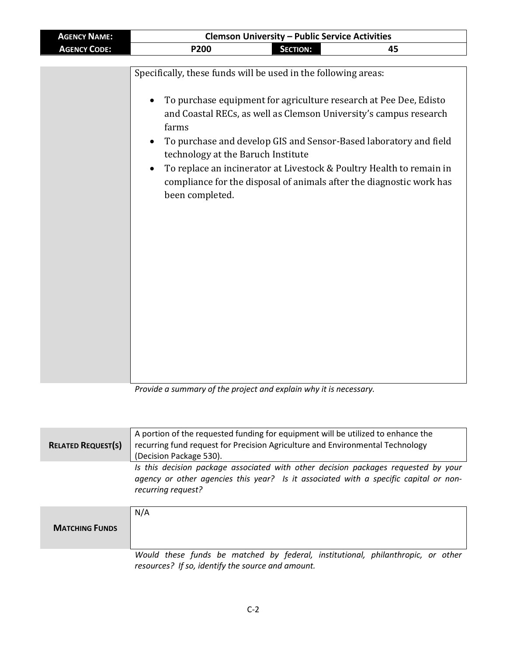*Provide a summary of the project and explain why it is necessary.*

| <b>RELATED REQUEST(S)</b> | A portion of the requested funding for equipment will be utilized to enhance the<br>recurring fund request for Precision Agriculture and Environmental Technology<br>(Decision Package 530).     |
|---------------------------|--------------------------------------------------------------------------------------------------------------------------------------------------------------------------------------------------|
|                           | Is this decision package associated with other decision packages requested by your<br>agency or other agencies this year? Is it associated with a specific capital or non-<br>recurring request? |
| <b>MATCHING FUNDS</b>     | N/A                                                                                                                                                                                              |
|                           | Would these funds be matched by federal, institutional, philanthropic, or other<br>resources? If so, identify the source and amount.                                                             |